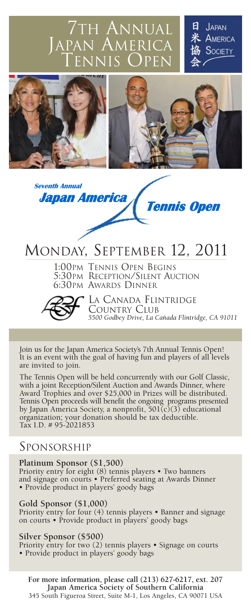<sup>7</sup>th Annual  $\mathcal{M}$ er TENNIS OPEN

JAPAN AMERICA **SOCIETY** 



**Japan America | Tennis Open** 

# MONDAY, SEPTEMBER 12, 2011

1:00PM TENNIS OPEN BEGINS 5:30PM RECEPTION/SILENT AUCTION 6:30PM AWARDS DINNER



**Seventh Annual** 

LA CANADA FLINTRIDGE COUNTRY CLUB *5500 Godbey Drive, La Cañada Flintridge, CA 91011*

Join us for the Japan America Society's 7th Annual Tennis Open! It is an event with the goal of having fun and players of all levels are invited to join.

The Tennis Open will be held concurrently with our Golf Classic, with a joint Reception/Silent Auction and Awards Dinner, where Award Trophies and over \$25,000 in Prizes will be distributed. Tennis Open proceeds will benefit the ongoing programs presented by Japan America Society, a nonprofit, 501(c)(3) educational organization; your donation should be tax deductible. Tax I.D. # 95-2021853

## SPONSORSHIP

### **Platinum Sponsor (\$1,500)**

Priority entry for eight (8) tennis players • Two banners and signage on courts • Preferred seating at Awards Dinner • Provide product in players' goody bags

### **Gold Sponsor (\$1,000)**

Priority entry for four (4) tennis players • Banner and signage on courts • Provide product in players' goody bags

#### **Silver Sponsor (\$500)**

Priority entry for two (2) tennis players • Signage on courts • Provide product in players' goody bags

**For more information, please call (213) 627-6217, ext. 207 Japan America Society of Southern California** 345 South Figueroa Street, Suite M-1, Los Angeles, CA 90071 USA